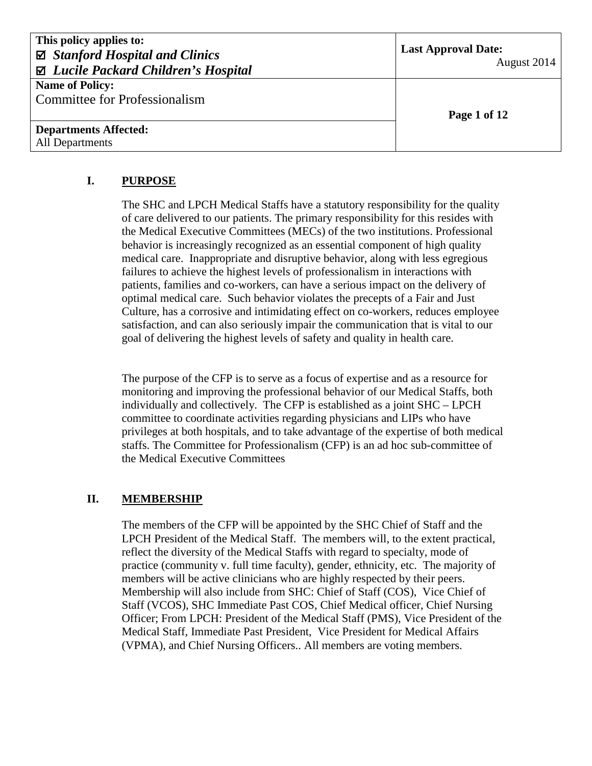| This policy applies to:<br>$\boxtimes$ Stanford Hospital and Clinics<br>⊠ Lucile Packard Children's Hospital | <b>Last Approval Date:</b><br>August 2014 |  |
|--------------------------------------------------------------------------------------------------------------|-------------------------------------------|--|
| <b>Name of Policy:</b><br><b>Committee for Professionalism</b>                                               |                                           |  |
|                                                                                                              | Page 1 of 12                              |  |
| <b>Departments Affected:</b>                                                                                 |                                           |  |
| All Departments                                                                                              |                                           |  |

#### **I. PURPOSE**

The SHC and LPCH Medical Staffs have a statutory responsibility for the quality of care delivered to our patients. The primary responsibility for this resides with the Medical Executive Committees (MECs) of the two institutions. Professional behavior is increasingly recognized as an essential component of high quality medical care. Inappropriate and disruptive behavior, along with less egregious failures to achieve the highest levels of professionalism in interactions with patients, families and co-workers, can have a serious impact on the delivery of optimal medical care. Such behavior violates the precepts of a Fair and Just Culture, has a corrosive and intimidating effect on co-workers, reduces employee satisfaction, and can also seriously impair the communication that is vital to our goal of delivering the highest levels of safety and quality in health care.

The purpose of the CFP is to serve as a focus of expertise and as a resource for monitoring and improving the professional behavior of our Medical Staffs, both individually and collectively. The CFP is established as a joint SHC – LPCH committee to coordinate activities regarding physicians and LIPs who have privileges at both hospitals, and to take advantage of the expertise of both medical staffs. The Committee for Professionalism (CFP) is an ad hoc sub-committee of the Medical Executive Committees

#### **II. MEMBERSHIP**

The members of the CFP will be appointed by the SHC Chief of Staff and the LPCH President of the Medical Staff. The members will, to the extent practical, reflect the diversity of the Medical Staffs with regard to specialty, mode of practice (community v. full time faculty), gender, ethnicity, etc. The majority of members will be active clinicians who are highly respected by their peers. Membership will also include from SHC: Chief of Staff (COS), Vice Chief of Staff (VCOS), SHC Immediate Past COS, Chief Medical officer, Chief Nursing Officer; From LPCH: President of the Medical Staff (PMS), Vice President of the Medical Staff, Immediate Past President, Vice President for Medical Affairs (VPMA), and Chief Nursing Officers.. All members are voting members.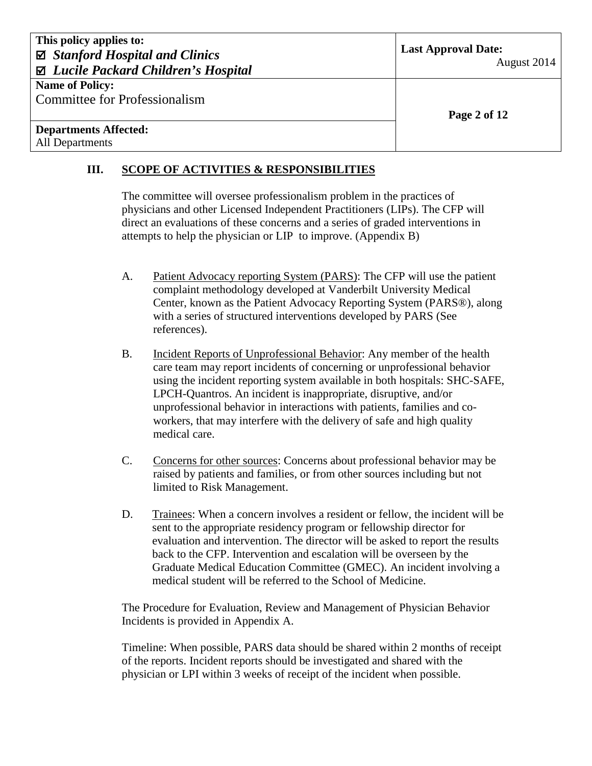August 2014

**Name of Policy:**  Committee for Professionalism

#### **Departments Affected:** All Departments

**Page 2 of 12**

# **III. SCOPE OF ACTIVITIES & RESPONSIBILITIES**

The committee will oversee professionalism problem in the practices of physicians and other Licensed Independent Practitioners (LIPs). The CFP will direct an evaluations of these concerns and a series of graded interventions in attempts to help the physician or LIP to improve. (Appendix B)

- A. Patient Advocacy reporting System (PARS): The CFP will use the patient complaint methodology developed at Vanderbilt University Medical Center, known as the Patient Advocacy Reporting System (PARS®), along with a series of structured interventions developed by PARS (See references).
- B. Incident Reports of Unprofessional Behavior: Any member of the health care team may report incidents of concerning or unprofessional behavior using the incident reporting system available in both hospitals: SHC-SAFE, LPCH-Quantros. An incident is inappropriate, disruptive, and/or unprofessional behavior in interactions with patients, families and coworkers, that may interfere with the delivery of safe and high quality medical care.
- C. Concerns for other sources: Concerns about professional behavior may be raised by patients and families, or from other sources including but not limited to Risk Management.
- D. Trainees: When a concern involves a resident or fellow, the incident will be sent to the appropriate residency program or fellowship director for evaluation and intervention. The director will be asked to report the results back to the CFP. Intervention and escalation will be overseen by the Graduate Medical Education Committee (GMEC). An incident involving a medical student will be referred to the School of Medicine.

The Procedure for Evaluation, Review and Management of Physician Behavior Incidents is provided in Appendix A.

Timeline: When possible, PARS data should be shared within 2 months of receipt of the reports. Incident reports should be investigated and shared with the physician or LPI within 3 weeks of receipt of the incident when possible.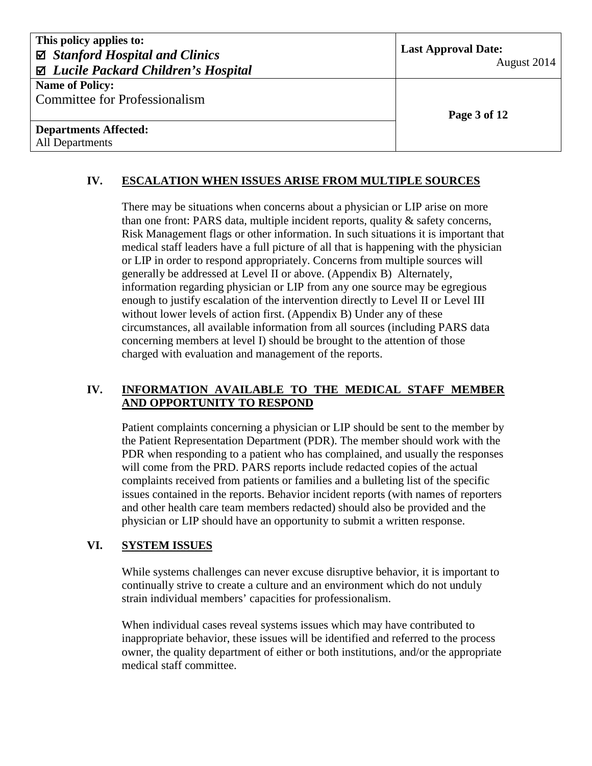| This policy applies to:<br>$\boxtimes$ Stanford Hospital and Clinics<br>⊠ Lucile Packard Children's Hospital | <b>Last Approval Date:</b><br>August 2014 |
|--------------------------------------------------------------------------------------------------------------|-------------------------------------------|
| <b>Name of Policy:</b><br><b>Committee for Professionalism</b>                                               | Page 3 of 12                              |
| <b>Departments Affected:</b><br>All Departments                                                              |                                           |

### **IV. ESCALATION WHEN ISSUES ARISE FROM MULTIPLE SOURCES**

There may be situations when concerns about a physician or LIP arise on more than one front: PARS data, multiple incident reports, quality & safety concerns, Risk Management flags or other information. In such situations it is important that medical staff leaders have a full picture of all that is happening with the physician or LIP in order to respond appropriately. Concerns from multiple sources will generally be addressed at Level II or above. (Appendix B) Alternately, information regarding physician or LIP from any one source may be egregious enough to justify escalation of the intervention directly to Level II or Level III without lower levels of action first. (Appendix B) Under any of these circumstances, all available information from all sources (including PARS data concerning members at level I) should be brought to the attention of those charged with evaluation and management of the reports.

#### **IV. INFORMATION AVAILABLE TO THE MEDICAL STAFF MEMBER AND OPPORTUNITY TO RESPOND**

Patient complaints concerning a physician or LIP should be sent to the member by the Patient Representation Department (PDR). The member should work with the PDR when responding to a patient who has complained, and usually the responses will come from the PRD. PARS reports include redacted copies of the actual complaints received from patients or families and a bulleting list of the specific issues contained in the reports. Behavior incident reports (with names of reporters and other health care team members redacted) should also be provided and the physician or LIP should have an opportunity to submit a written response.

#### **VI. SYSTEM ISSUES**

While systems challenges can never excuse disruptive behavior, it is important to continually strive to create a culture and an environment which do not unduly strain individual members' capacities for professionalism.

When individual cases reveal systems issues which may have contributed to inappropriate behavior, these issues will be identified and referred to the process owner, the quality department of either or both institutions, and/or the appropriate medical staff committee.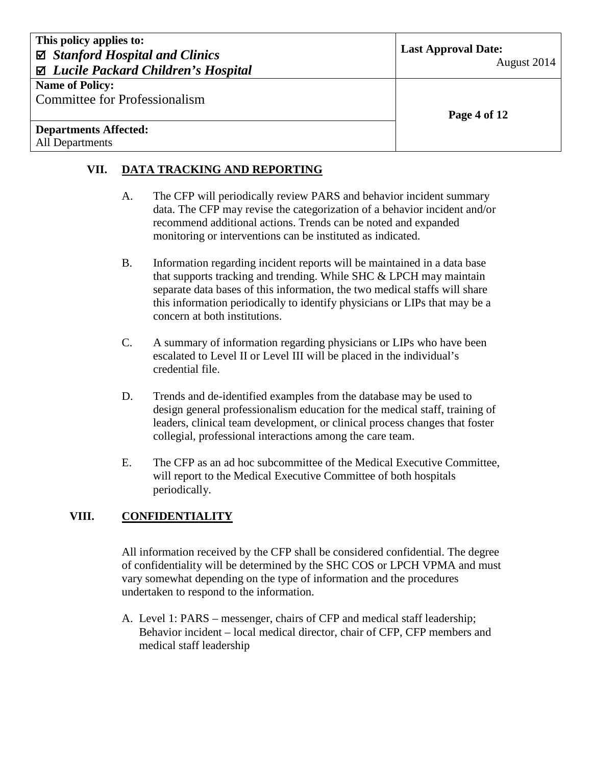| This policy applies to:<br>$\boxtimes$ Stanford Hospital and Clinics<br>$\boxtimes$ Lucile Packard Children's Hospital | <b>Last Approval Date:</b><br>August 2014 |  |
|------------------------------------------------------------------------------------------------------------------------|-------------------------------------------|--|
| <b>Name of Policy:</b>                                                                                                 |                                           |  |
| Committee for Professionalism                                                                                          |                                           |  |
|                                                                                                                        | Page 4 of 12                              |  |
| <b>Departments Affected:</b>                                                                                           |                                           |  |
| <b>All Departments</b>                                                                                                 |                                           |  |
|                                                                                                                        |                                           |  |

### **VII. DATA TRACKING AND REPORTING**

- A. The CFP will periodically review PARS and behavior incident summary data. The CFP may revise the categorization of a behavior incident and/or recommend additional actions. Trends can be noted and expanded monitoring or interventions can be instituted as indicated.
- B. Information regarding incident reports will be maintained in a data base that supports tracking and trending. While SHC & LPCH may maintain separate data bases of this information, the two medical staffs will share this information periodically to identify physicians or LIPs that may be a concern at both institutions.
- C. A summary of information regarding physicians or LIPs who have been escalated to Level II or Level III will be placed in the individual's credential file.
- D. Trends and de-identified examples from the database may be used to design general professionalism education for the medical staff, training of leaders, clinical team development, or clinical process changes that foster collegial, professional interactions among the care team.
- E. The CFP as an ad hoc subcommittee of the Medical Executive Committee, will report to the Medical Executive Committee of both hospitals periodically.

## **VIII. CONFIDENTIALITY**

All information received by the CFP shall be considered confidential. The degree of confidentiality will be determined by the SHC COS or LPCH VPMA and must vary somewhat depending on the type of information and the procedures undertaken to respond to the information.

A. Level 1: PARS – messenger, chairs of CFP and medical staff leadership; Behavior incident – local medical director, chair of CFP, CFP members and medical staff leadership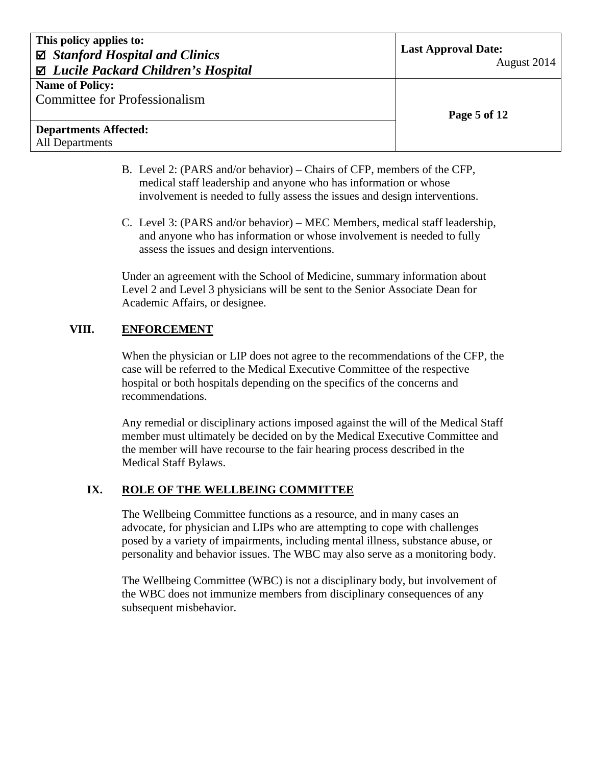| This policy applies to:<br>$\boxtimes$ Stanford Hospital and Clinics<br>$\boxtimes$ Lucile Packard Children's Hospital | <b>Last Approval Date:</b><br>August 2014 |  |
|------------------------------------------------------------------------------------------------------------------------|-------------------------------------------|--|
| <b>Name of Policy:</b>                                                                                                 |                                           |  |
| <b>Committee for Professionalism</b>                                                                                   |                                           |  |
|                                                                                                                        | Page 5 of 12                              |  |
| <b>Departments Affected:</b>                                                                                           |                                           |  |
| <b>All Departments</b>                                                                                                 |                                           |  |

- B. Level 2: (PARS and/or behavior) Chairs of CFP, members of the CFP, medical staff leadership and anyone who has information or whose involvement is needed to fully assess the issues and design interventions.
- C. Level 3: (PARS and/or behavior) MEC Members, medical staff leadership, and anyone who has information or whose involvement is needed to fully assess the issues and design interventions.

Under an agreement with the School of Medicine, summary information about Level 2 and Level 3 physicians will be sent to the Senior Associate Dean for Academic Affairs, or designee.

#### **VIII. ENFORCEMENT**

When the physician or LIP does not agree to the recommendations of the CFP, the case will be referred to the Medical Executive Committee of the respective hospital or both hospitals depending on the specifics of the concerns and recommendations.

Any remedial or disciplinary actions imposed against the will of the Medical Staff member must ultimately be decided on by the Medical Executive Committee and the member will have recourse to the fair hearing process described in the Medical Staff Bylaws.

#### **IX. ROLE OF THE WELLBEING COMMITTEE**

The Wellbeing Committee functions as a resource, and in many cases an advocate, for physician and LIPs who are attempting to cope with challenges posed by a variety of impairments, including mental illness, substance abuse, or personality and behavior issues. The WBC may also serve as a monitoring body.

The Wellbeing Committee (WBC) is not a disciplinary body, but involvement of the WBC does not immunize members from disciplinary consequences of any subsequent misbehavior.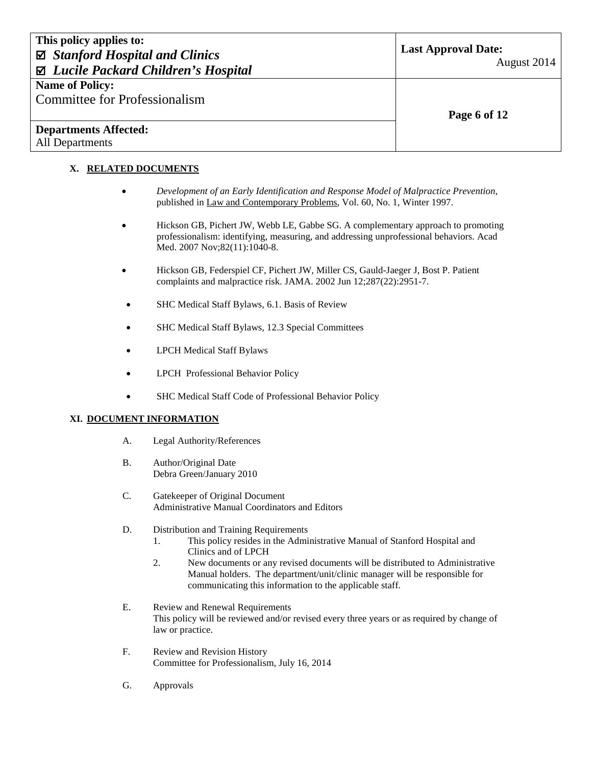| This policy applies to:<br>$\boxtimes$ Stanford Hospital and Clinics<br>⊠ Lucile Packard Children's Hospital | <b>Last Approval Date:</b><br>August 2014 |
|--------------------------------------------------------------------------------------------------------------|-------------------------------------------|
| <b>Name of Policy:</b><br><b>Committee for Professionalism</b>                                               | Page 6 of 12                              |
| <b>Departments Affected:</b><br><b>All Departments</b>                                                       |                                           |

#### **X. RELATED DOCUMENTS**

- *Development of an Early Identification and Response Model of Malpractice Prevention*, published in Law and Contemporary Problems, Vol. 60, No. 1, Winter 1997.
- [Hickson GB,](http://www.ncbi.nlm.nih.gov.laneproxy.stanford.edu/sites/entrez?Db=pubmed&Cmd=Search&Term=%22Hickson%20GB%22%5BAuthor%5D&itool=EntrezSystem2.PEntrez.Pubmed.Pubmed_ResultsPanel.Pubmed_DiscoveryPanel.Pubmed_RVAbstractPlus) [Pichert JW,](http://www.ncbi.nlm.nih.gov.laneproxy.stanford.edu/sites/entrez?Db=pubmed&Cmd=Search&Term=%22Pichert%20JW%22%5BAuthor%5D&itool=EntrezSystem2.PEntrez.Pubmed.Pubmed_ResultsPanel.Pubmed_DiscoveryPanel.Pubmed_RVAbstractPlus) [Webb LE,](http://www.ncbi.nlm.nih.gov.laneproxy.stanford.edu/sites/entrez?Db=pubmed&Cmd=Search&Term=%22Webb%20LE%22%5BAuthor%5D&itool=EntrezSystem2.PEntrez.Pubmed.Pubmed_ResultsPanel.Pubmed_DiscoveryPanel.Pubmed_RVAbstractPlus) [Gabbe SG.](http://www.ncbi.nlm.nih.gov.laneproxy.stanford.edu/sites/entrez?Db=pubmed&Cmd=Search&Term=%22Gabbe%20SG%22%5BAuthor%5D&itool=EntrezSystem2.PEntrez.Pubmed.Pubmed_ResultsPanel.Pubmed_DiscoveryPanel.Pubmed_RVAbstractPlus) A complementary approach to promoting professionalism: identifying, measuring, and addressing unprofessional behaviors. [Acad](javascript:AL_get(this,%20)  [Med.](javascript:AL_get(this,%20) 2007 Nov;82(11):1040-8.
- [Hickson GB,](http://www.ncbi.nlm.nih.gov.laneproxy.stanford.edu/sites/entrez?Db=pubmed&Cmd=Search&Term=%22Hickson%20GB%22%5BAuthor%5D&itool=EntrezSystem2.PEntrez.Pubmed.Pubmed_ResultsPanel.Pubmed_RVAbstract) [Federspiel CF,](http://www.ncbi.nlm.nih.gov.laneproxy.stanford.edu/sites/entrez?Db=pubmed&Cmd=Search&Term=%22Federspiel%20CF%22%5BAuthor%5D&itool=EntrezSystem2.PEntrez.Pubmed.Pubmed_ResultsPanel.Pubmed_RVAbstract) [Pichert JW,](http://www.ncbi.nlm.nih.gov.laneproxy.stanford.edu/sites/entrez?Db=pubmed&Cmd=Search&Term=%22Pichert%20JW%22%5BAuthor%5D&itool=EntrezSystem2.PEntrez.Pubmed.Pubmed_ResultsPanel.Pubmed_RVAbstract) [Miller CS,](http://www.ncbi.nlm.nih.gov.laneproxy.stanford.edu/sites/entrez?Db=pubmed&Cmd=Search&Term=%22Miller%20CS%22%5BAuthor%5D&itool=EntrezSystem2.PEntrez.Pubmed.Pubmed_ResultsPanel.Pubmed_RVAbstract) [Gauld-Jaeger J,](http://www.ncbi.nlm.nih.gov.laneproxy.stanford.edu/sites/entrez?Db=pubmed&Cmd=Search&Term=%22Gauld-Jaeger%20J%22%5BAuthor%5D&itool=EntrezSystem2.PEntrez.Pubmed.Pubmed_ResultsPanel.Pubmed_RVAbstract) [Bost P.](http://www.ncbi.nlm.nih.gov.laneproxy.stanford.edu/sites/entrez?Db=pubmed&Cmd=Search&Term=%22Bost%20P%22%5BAuthor%5D&itool=EntrezSystem2.PEntrez.Pubmed.Pubmed_ResultsPanel.Pubmed_RVAbstract) Patient complaints and malpractice risk. [JAMA.](javascript:AL_get(this,%20) 2002 Jun 12;287(22):2951-7.
- SHC Medical Staff Bylaws, 6.1. Basis of Review
- SHC Medical Staff Bylaws, 12.3 Special Committees
- LPCH Medical Staff Bylaws
- LPCH Professional Behavior Policy
- SHC Medical Staff Code of Professional Behavior Policy

#### **XI. DOCUMENT INFORMATION**

- A. Legal Authority/References
- B. Author/Original Date Debra Green/January 2010
- C. Gatekeeper of Original Document Administrative Manual Coordinators and Editors
- D. Distribution and Training Requirements
	- 1. This policy resides in the Administrative Manual of Stanford Hospital and Clinics and of LPCH
	- 2. New documents or any revised documents will be distributed to Administrative Manual holders. The department/unit/clinic manager will be responsible for communicating this information to the applicable staff.
- E. Review and Renewal Requirements This policy will be reviewed and/or revised every three years or as required by change of law or practice.
- F. Review and Revision History Committee for Professionalism, July 16, 2014
- G. Approvals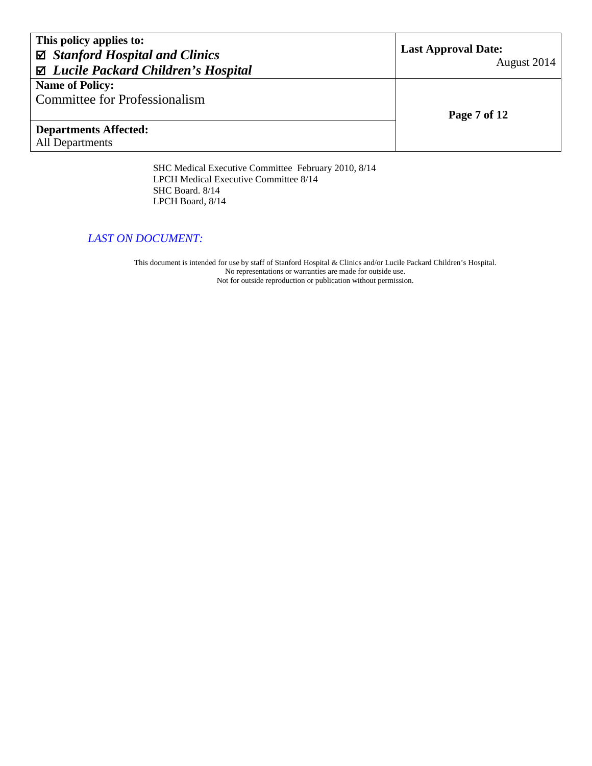| This policy applies to:<br>$\boxtimes$ Stanford Hospital and Clinics<br>⊠ Lucile Packard Children's Hospital | <b>Last Approval Date:</b><br>August 2014 |
|--------------------------------------------------------------------------------------------------------------|-------------------------------------------|
| <b>Name of Policy:</b>                                                                                       |                                           |
| <b>Committee for Professionalism</b>                                                                         |                                           |
|                                                                                                              | Page 7 of 12                              |
| <b>Departments Affected:</b>                                                                                 |                                           |
| <b>All Departments</b>                                                                                       |                                           |
|                                                                                                              |                                           |

SHC Medical Executive Committee February 2010, 8/14 LPCH Medical Executive Committee 8/14 SHC Board. 8/14 LPCH Board, 8/14

#### *LAST ON DOCUMENT:*

This document is intended for use by staff of Stanford Hospital & Clinics and/or Lucile Packard Children's Hospital. No representations or warranties are made for outside use. Not for outside reproduction or publication without permission.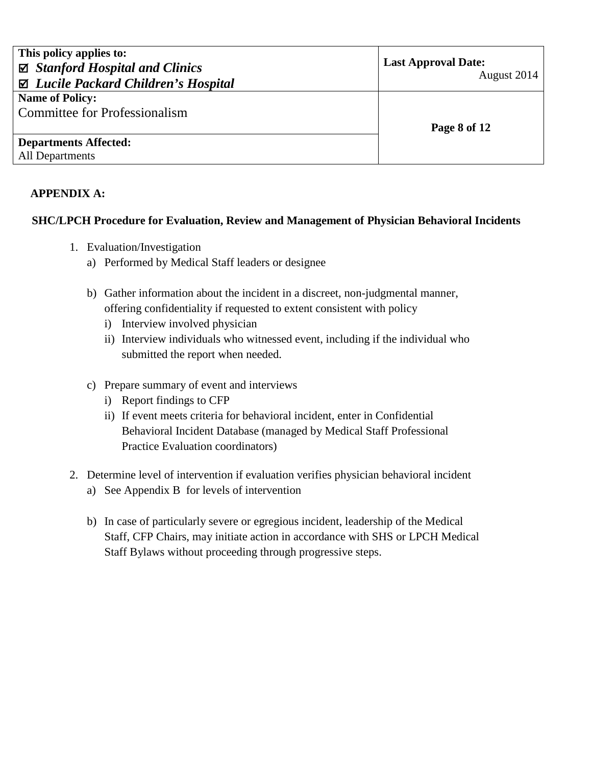| This policy applies to:<br>$\boxtimes$ Stanford Hospital and Clinics<br>⊠ Lucile Packard Children's Hospital | <b>Last Approval Date:</b><br>August 2014 |
|--------------------------------------------------------------------------------------------------------------|-------------------------------------------|
| <b>Name of Policy:</b>                                                                                       |                                           |
| Committee for Professionalism                                                                                |                                           |
|                                                                                                              | Page 8 of 12                              |
| <b>Departments Affected:</b>                                                                                 |                                           |
| <b>All Departments</b>                                                                                       |                                           |

### **APPENDIX A:**

#### **SHC/LPCH Procedure for Evaluation, Review and Management of Physician Behavioral Incidents**

- 1. Evaluation/Investigation
	- a) Performed by Medical Staff leaders or designee
	- b) Gather information about the incident in a discreet, non-judgmental manner, offering confidentiality if requested to extent consistent with policy
		- i) Interview involved physician
		- ii) Interview individuals who witnessed event, including if the individual who submitted the report when needed.
	- c) Prepare summary of event and interviews
		- i) Report findings to CFP
		- ii) If event meets criteria for behavioral incident, enter in Confidential Behavioral Incident Database (managed by Medical Staff Professional Practice Evaluation coordinators)
- 2. Determine level of intervention if evaluation verifies physician behavioral incident
	- a) See Appendix B for levels of intervention
	- b) In case of particularly severe or egregious incident, leadership of the Medical Staff, CFP Chairs, may initiate action in accordance with SHS or LPCH Medical Staff Bylaws without proceeding through progressive steps.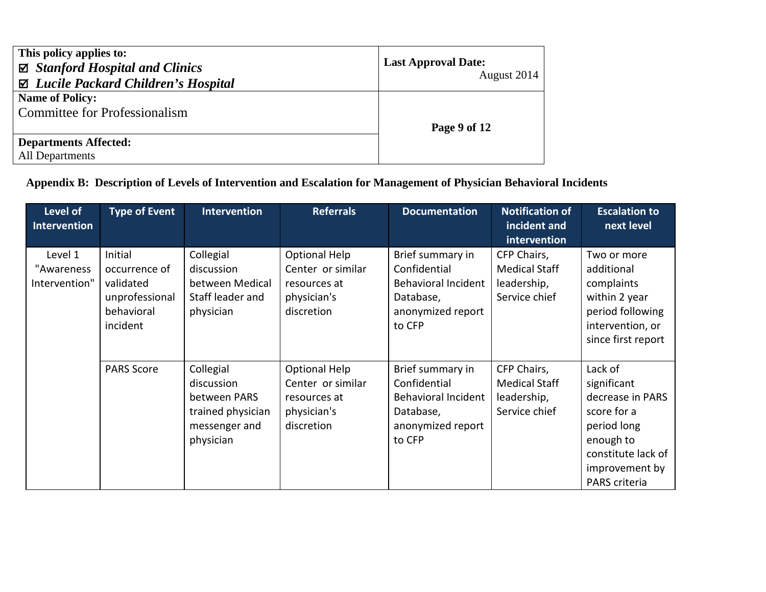| This policy applies to:<br>$\boxtimes$ Stanford Hospital and Clinics<br>$\boxtimes$ Lucile Packard Children's Hospital | <b>Last Approval Date:</b><br>August 2014 |
|------------------------------------------------------------------------------------------------------------------------|-------------------------------------------|
| <b>Name of Policy:</b>                                                                                                 |                                           |
| Committee for Professionalism                                                                                          |                                           |
|                                                                                                                        | Page 9 of 12                              |
| <b>Departments Affected:</b>                                                                                           |                                           |
| <b>All Departments</b>                                                                                                 |                                           |

# **Appendix B: Description of Levels of Intervention and Escalation for Management of Physician Behavioral Incidents**

| Level of<br><b>Intervention</b>        | <b>Type of Event</b>                                                              | <b>Intervention</b>                                                                        | <b>Referrals</b>                                                                       | <b>Documentation</b>                                                                                       | <b>Notification of</b><br>incident and<br>intervention              | <b>Escalation to</b><br>next level                                                                                                             |
|----------------------------------------|-----------------------------------------------------------------------------------|--------------------------------------------------------------------------------------------|----------------------------------------------------------------------------------------|------------------------------------------------------------------------------------------------------------|---------------------------------------------------------------------|------------------------------------------------------------------------------------------------------------------------------------------------|
| Level 1<br>"Awareness<br>Intervention" | Initial<br>occurrence of<br>validated<br>unprofessional<br>behavioral<br>incident | Collegial<br>discussion<br>between Medical<br>Staff leader and<br>physician                | <b>Optional Help</b><br>Center or similar<br>resources at<br>physician's<br>discretion | Brief summary in<br>Confidential<br><b>Behavioral Incident</b><br>Database,<br>anonymized report<br>to CFP | CFP Chairs,<br><b>Medical Staff</b><br>leadership,<br>Service chief | Two or more<br>additional<br>complaints<br>within 2 year<br>period following<br>intervention, or<br>since first report                         |
|                                        | <b>PARS Score</b>                                                                 | Collegial<br>discussion<br>between PARS<br>trained physician<br>messenger and<br>physician | Optional Help<br>Center or similar<br>resources at<br>physician's<br>discretion        | Brief summary in<br>Confidential<br><b>Behavioral Incident</b><br>Database,<br>anonymized report<br>to CFP | CFP Chairs,<br><b>Medical Staff</b><br>leadership,<br>Service chief | Lack of<br>significant<br>decrease in PARS<br>score for a<br>period long<br>enough to<br>constitute lack of<br>improvement by<br>PARS criteria |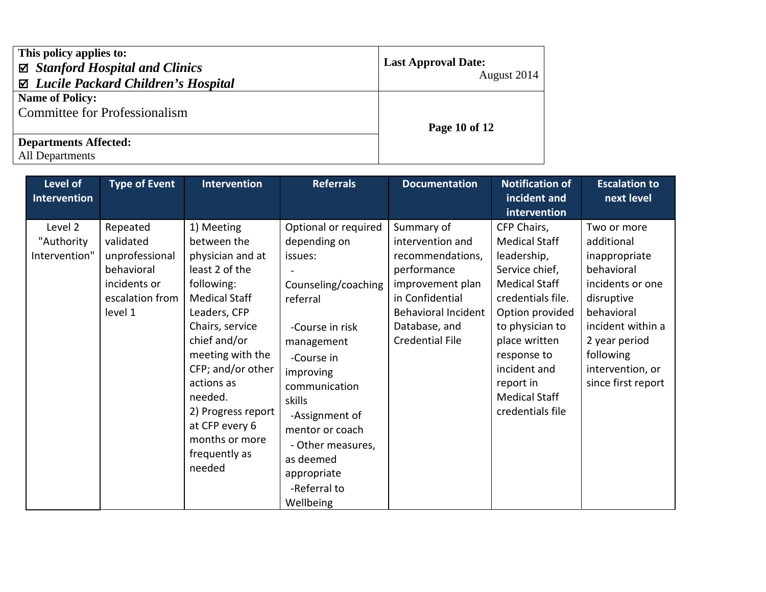| This policy applies to:<br>$\boxtimes$ Stanford Hospital and Clinics<br>$\boxtimes$ Lucile Packard Children's Hospital | <b>Last Approval Date:</b><br>August 2014 |
|------------------------------------------------------------------------------------------------------------------------|-------------------------------------------|
| <b>Name of Policy:</b><br><b>Committee for Professionalism</b>                                                         | Page 10 of 12                             |
| <b>Departments Affected:</b><br><b>All Departments</b>                                                                 |                                           |

| Level of<br><b>Intervention</b>        | <b>Type of Event</b>                                                                                | <b>Intervention</b>                                                                                                                                                                                                                                                                                             | <b>Referrals</b>                                                                                                                                                                                                                                                                             | <b>Documentation</b>                                                                                                                                                              | <b>Notification of</b><br>incident and                                                                                                                                                                                                                           | <b>Escalation to</b><br>next level                                                                                                                                                                    |
|----------------------------------------|-----------------------------------------------------------------------------------------------------|-----------------------------------------------------------------------------------------------------------------------------------------------------------------------------------------------------------------------------------------------------------------------------------------------------------------|----------------------------------------------------------------------------------------------------------------------------------------------------------------------------------------------------------------------------------------------------------------------------------------------|-----------------------------------------------------------------------------------------------------------------------------------------------------------------------------------|------------------------------------------------------------------------------------------------------------------------------------------------------------------------------------------------------------------------------------------------------------------|-------------------------------------------------------------------------------------------------------------------------------------------------------------------------------------------------------|
|                                        |                                                                                                     |                                                                                                                                                                                                                                                                                                                 |                                                                                                                                                                                                                                                                                              |                                                                                                                                                                                   | intervention                                                                                                                                                                                                                                                     |                                                                                                                                                                                                       |
| Level 2<br>"Authority<br>Intervention" | Repeated<br>validated<br>unprofessional<br>behavioral<br>incidents or<br>escalation from<br>level 1 | 1) Meeting<br>between the<br>physician and at<br>least 2 of the<br>following:<br><b>Medical Staff</b><br>Leaders, CFP<br>Chairs, service<br>chief and/or<br>meeting with the<br>CFP; and/or other<br>actions as<br>needed.<br>2) Progress report<br>at CFP every 6<br>months or more<br>frequently as<br>needed | Optional or required<br>depending on<br>issues:<br>Counseling/coaching<br>referral<br>-Course in risk<br>management<br>-Course in<br>improving<br>communication<br>skills<br>-Assignment of<br>mentor or coach<br>- Other measures,<br>as deemed<br>appropriate<br>-Referral to<br>Wellbeing | Summary of<br>intervention and<br>recommendations,<br>performance<br>improvement plan<br>in Confidential<br><b>Behavioral Incident</b><br>Database, and<br><b>Credential File</b> | CFP Chairs,<br><b>Medical Staff</b><br>leadership,<br>Service chief,<br><b>Medical Staff</b><br>credentials file.<br>Option provided<br>to physician to<br>place written<br>response to<br>incident and<br>report in<br><b>Medical Staff</b><br>credentials file | Two or more<br>additional<br>inappropriate<br>behavioral<br>incidents or one<br>disruptive<br>behavioral<br>incident within a<br>2 year period<br>following<br>intervention, or<br>since first report |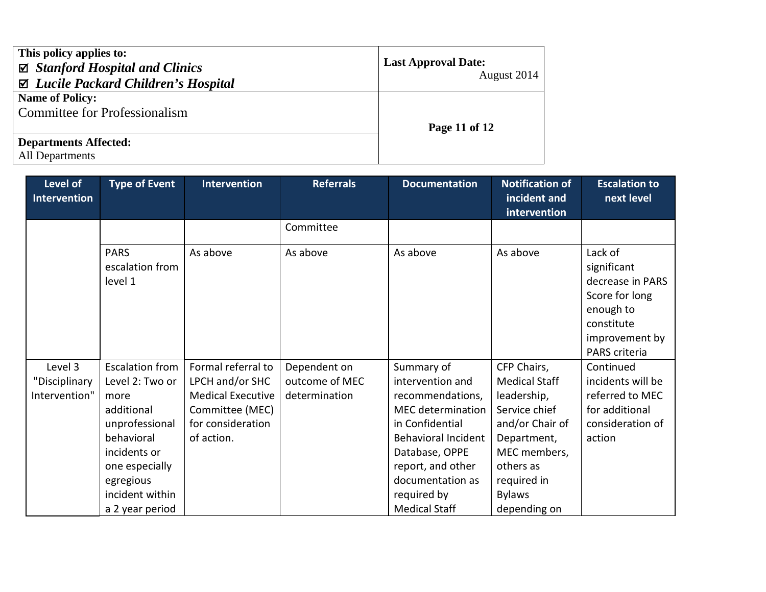| This policy applies to:<br>$\boxtimes$ Stanford Hospital and Clinics<br>⊠ Lucile Packard Children's Hospital | <b>Last Approval Date:</b><br>August 2014 |  |
|--------------------------------------------------------------------------------------------------------------|-------------------------------------------|--|
| <b>Name of Policy:</b><br><b>Committee for Professionalism</b>                                               | Page 11 of 12                             |  |
| <b>Departments Affected:</b><br><b>All Departments</b>                                                       |                                           |  |

| Level of<br><b>Intervention</b>           | <b>Type of Event</b>                                                                                                                                                                 | <b>Intervention</b>                                                                                                     | <b>Referrals</b>                                | <b>Documentation</b>                                                                                                                                                                                                              | <b>Notification of</b><br>incident and<br>intervention                                                                                                                             | <b>Escalation to</b><br>next level                                                                                         |
|-------------------------------------------|--------------------------------------------------------------------------------------------------------------------------------------------------------------------------------------|-------------------------------------------------------------------------------------------------------------------------|-------------------------------------------------|-----------------------------------------------------------------------------------------------------------------------------------------------------------------------------------------------------------------------------------|------------------------------------------------------------------------------------------------------------------------------------------------------------------------------------|----------------------------------------------------------------------------------------------------------------------------|
|                                           |                                                                                                                                                                                      |                                                                                                                         | Committee                                       |                                                                                                                                                                                                                                   |                                                                                                                                                                                    |                                                                                                                            |
|                                           | <b>PARS</b><br>escalation from<br>level 1                                                                                                                                            | As above                                                                                                                | As above                                        | As above                                                                                                                                                                                                                          | As above                                                                                                                                                                           | Lack of<br>significant<br>decrease in PARS<br>Score for long<br>enough to<br>constitute<br>improvement by<br>PARS criteria |
| Level 3<br>"Disciplinary<br>Intervention" | <b>Escalation from</b><br>Level 2: Two or<br>more<br>additional<br>unprofessional<br>behavioral<br>incidents or<br>one especially<br>egregious<br>incident within<br>a 2 year period | Formal referral to<br>LPCH and/or SHC<br><b>Medical Executive</b><br>Committee (MEC)<br>for consideration<br>of action. | Dependent on<br>outcome of MEC<br>determination | Summary of<br>intervention and<br>recommendations,<br><b>MEC</b> determination<br>in Confidential<br><b>Behavioral Incident</b><br>Database, OPPE<br>report, and other<br>documentation as<br>required by<br><b>Medical Staff</b> | CFP Chairs,<br><b>Medical Staff</b><br>leadership,<br>Service chief<br>and/or Chair of<br>Department,<br>MEC members,<br>others as<br>required in<br><b>Bylaws</b><br>depending on | Continued<br>incidents will be<br>referred to MEC<br>for additional<br>consideration of<br>action                          |